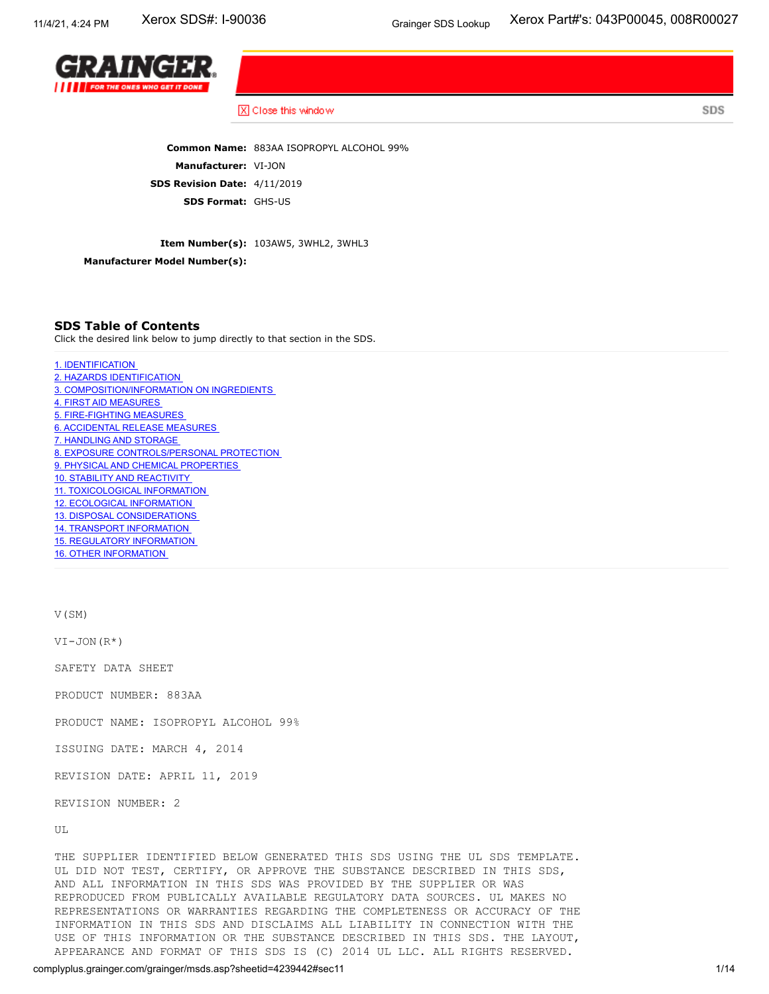SDS



X Close this window

**Common Name:** 883AA ISOPROPYL ALCOHOL 99% **Manufacturer:** VI-JON **SDS Revision Date:** 4/11/2019 **SDS Format:** GHS-US

**Item Number(s):** 103AW5, 3WHL2, 3WHL3

**Manufacturer Model Number(s):**

# **SDS Table of Contents**

Click the desired link below to jump directly to that section in the SDS.

1. [IDENTIFICATION](#page-1-0) 2. HAZARDS [IDENTIFICATION](#page-1-1) 3. [COMPOSITION/INFORMATION](#page-3-0) ON INGREDIENTS 4. FIRST AID [MEASURES](#page-3-1) 5. [FIRE-FIGHTING](#page-4-0) MEASURES 6. [ACCIDENTAL](#page-4-1) RELEASE MEASURES 7. [HANDLING](#page-5-0) AND STORAGE 8. EXPOSURE [CONTROLS/PERSONAL](#page-5-1) PROTECTION 9. PHYSICAL AND CHEMICAL [PROPERTIES](#page-6-0) 10. STABILITY AND [REACTIVITY](#page-7-0) 11. [TOXICOLOGICAL](#page-8-0) INFORMATION 12. ECOLOGICAL [INFORMATION](#page-9-0) 13. DISPOSAL [CONSIDERATIONS](#page-9-1) 14. TRANSPORT [INFORMATION](#page-10-0) 15. REGULATORY [INFORMATION](#page-11-0) 16. OTHER [INFORMATION](#page-12-0)

V(SM)

VI-JON(R\*)

SAFETY DATA SHEET

PRODUCT NUMBER: 883AA

PRODUCT NAME: ISOPROPYL ALCOHOL 99%

ISSUING DATE: MARCH 4, 2014

REVISION DATE: APRIL 11, 2019

REVISION NUMBER: 2

UL

THE SUPPLIER IDENTIFIED BELOW GENERATED THIS SDS USING THE UL SDS TEMPLATE. UL DID NOT TEST, CERTIFY, OR APPROVE THE SUBSTANCE DESCRIBED IN THIS SDS, AND ALL INFORMATION IN THIS SDS WAS PROVIDED BY THE SUPPLIER OR WAS REPRODUCED FROM PUBLICALLY AVAILABLE REGULATORY DATA SOURCES. UL MAKES NO REPRESENTATIONS OR WARRANTIES REGARDING THE COMPLETENESS OR ACCURACY OF THE INFORMATION IN THIS SDS AND DISCLAIMS ALL LIABILITY IN CONNECTION WITH THE USE OF THIS INFORMATION OR THE SUBSTANCE DESCRIBED IN THIS SDS. THE LAYOUT, APPEARANCE AND FORMAT OF THIS SDS IS (C) 2014 UL LLC. ALL RIGHTS RESERVED.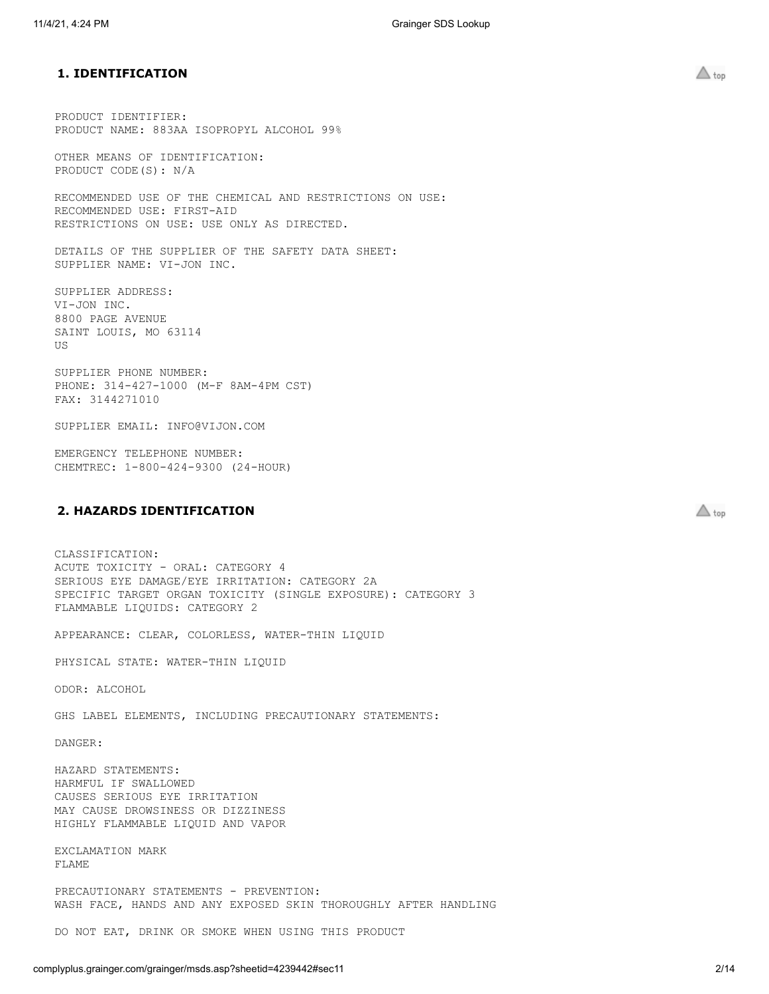# <span id="page-1-0"></span>**1. IDENTIFICATION**

PRODUCT IDENTIFIER: PRODUCT NAME: 883AA ISOPROPYL ALCOHOL 99%

OTHER MEANS OF IDENTIFICATION: PRODUCT CODE(S): N/A

RECOMMENDED USE OF THE CHEMICAL AND RESTRICTIONS ON USE: RECOMMENDED USE: FIRST-AID RESTRICTIONS ON USE: USE ONLY AS DIRECTED.

DETAILS OF THE SUPPLIER OF THE SAFETY DATA SHEET: SUPPLIER NAME: VI-JON INC.

SUPPLIER ADDRESS: VI-JON INC. 8800 PAGE AVENUE SAINT LOUIS, MO 63114 US

SUPPLIER PHONE NUMBER: PHONE: 314-427-1000 (M-F 8AM-4PM CST) FAX: 3144271010

SUPPLIER EMAIL: INFO@VIJON.COM

EMERGENCY TELEPHONE NUMBER: CHEMTREC: 1-800-424-9300 (24-HOUR)

# <span id="page-1-1"></span>**2. HAZARDS IDENTIFICATION**

CLASSIFICATION: ACUTE TOXICITY - ORAL: CATEGORY 4 SERIOUS EYE DAMAGE/EYE IRRITATION: CATEGORY 2A SPECIFIC TARGET ORGAN TOXICITY (SINGLE EXPOSURE): CATEGORY 3 FLAMMABLE LIQUIDS: CATEGORY 2

APPEARANCE: CLEAR, COLORLESS, WATER-THIN LIQUID

PHYSICAL STATE: WATER-THIN LIQUID

ODOR: ALCOHOL

GHS LABEL ELEMENTS, INCLUDING PRECAUTIONARY STATEMENTS:

DANGER:

HAZARD STATEMENTS: HARMFUL IF SWALLOWED CAUSES SERIOUS EYE IRRITATION MAY CAUSE DROWSINESS OR DIZZINESS HIGHLY FLAMMABLE LIQUID AND VAPOR

EXCLAMATION MARK FLAME

PRECAUTIONARY STATEMENTS - PREVENTION: WASH FACE, HANDS AND ANY EXPOSED SKIN THOROUGHLY AFTER HANDLING

DO NOT EAT, DRINK OR SMOKE WHEN USING THIS PRODUCT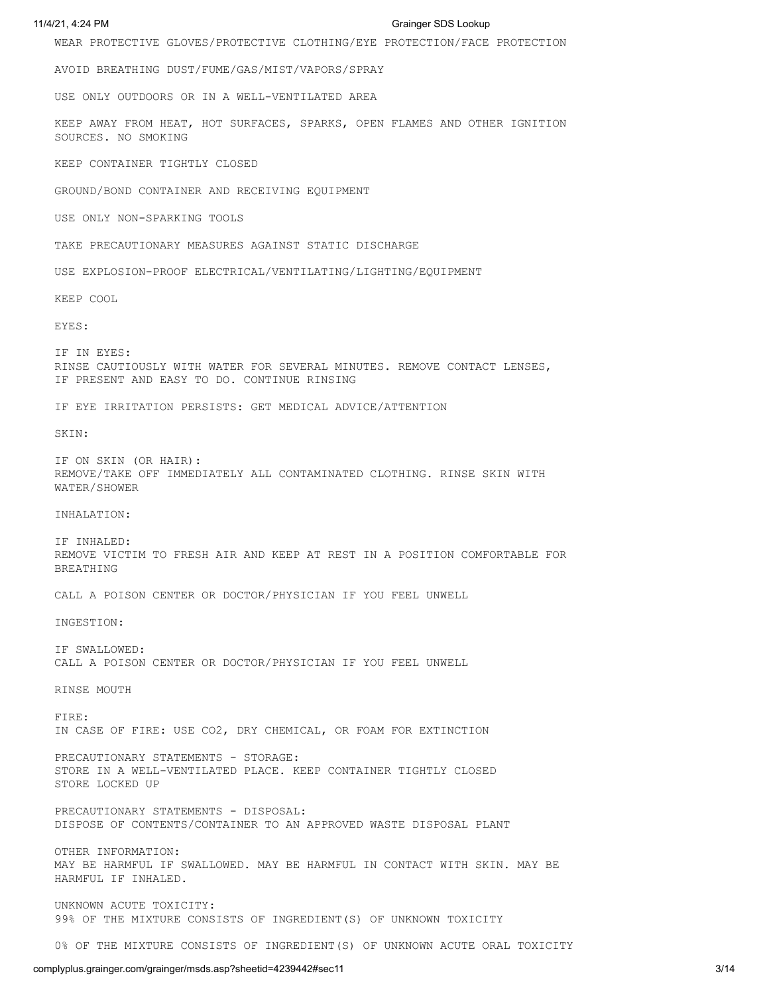WEAR PROTECTIVE GLOVES/PROTECTIVE CLOTHING/EYE PROTECTION/FACE PROTECTION

AVOID BREATHING DUST/FUME/GAS/MIST/VAPORS/SPRAY

USE ONLY OUTDOORS OR IN A WELL-VENTILATED AREA

KEEP AWAY FROM HEAT, HOT SURFACES, SPARKS, OPEN FLAMES AND OTHER IGNITION SOURCES. NO SMOKING

KEEP CONTAINER TIGHTLY CLOSED

GROUND/BOND CONTAINER AND RECEIVING EQUIPMENT

USE ONLY NON-SPARKING TOOLS

TAKE PRECAUTIONARY MEASURES AGAINST STATIC DISCHARGE

USE EXPLOSION-PROOF ELECTRICAL/VENTILATING/LIGHTING/EQUIPMENT

KEEP COOL

EYES:

IF IN EYES: RINSE CAUTIOUSLY WITH WATER FOR SEVERAL MINUTES. REMOVE CONTACT LENSES, IF PRESENT AND EASY TO DO. CONTINUE RINSING

IF EYE IRRITATION PERSISTS: GET MEDICAL ADVICE/ATTENTION

SKIN:

IF ON SKIN (OR HAIR): REMOVE/TAKE OFF IMMEDIATELY ALL CONTAMINATED CLOTHING. RINSE SKIN WITH WATER/SHOWER

INHALATION:

IF INHALED: REMOVE VICTIM TO FRESH AIR AND KEEP AT REST IN A POSITION COMFORTABLE FOR BREATHING

CALL A POISON CENTER OR DOCTOR/PHYSICIAN IF YOU FEEL UNWELL

INGESTION:

IF SWALLOWED: CALL A POISON CENTER OR DOCTOR/PHYSICIAN IF YOU FEEL UNWELL

RINSE MOUTH

FIRE: IN CASE OF FIRE: USE CO2, DRY CHEMICAL, OR FOAM FOR EXTINCTION

PRECAUTIONARY STATEMENTS - STORAGE: STORE IN A WELL-VENTILATED PLACE. KEEP CONTAINER TIGHTLY CLOSED STORE LOCKED UP

PRECAUTIONARY STATEMENTS - DISPOSAL: DISPOSE OF CONTENTS/CONTAINER TO AN APPROVED WASTE DISPOSAL PLANT

OTHER INFORMATION: MAY BE HARMFUL IF SWALLOWED. MAY BE HARMFUL IN CONTACT WITH SKIN. MAY BE HARMFUL IF INHALED.

UNKNOWN ACUTE TOXICITY: 99% OF THE MIXTURE CONSISTS OF INGREDIENT(S) OF UNKNOWN TOXICITY

0% OF THE MIXTURE CONSISTS OF INGREDIENT(S) OF UNKNOWN ACUTE ORAL TOXICITY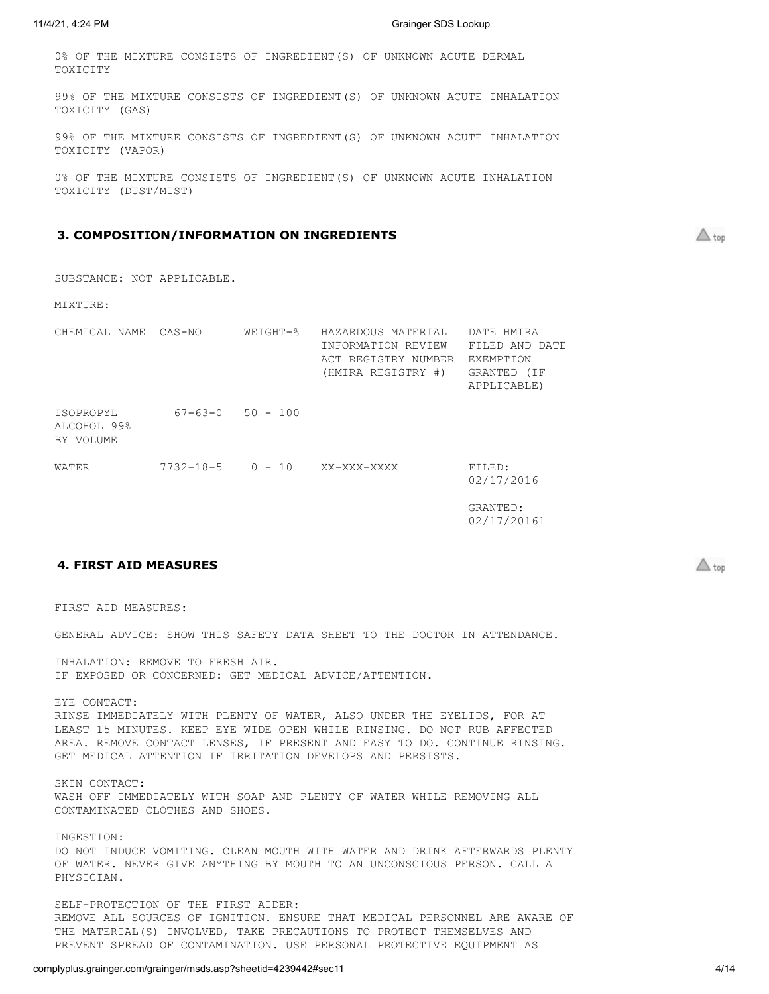0% OF THE MIXTURE CONSISTS OF INGREDIENT(S) OF UNKNOWN ACUTE DERMAL TOXICITY

99% OF THE MIXTURE CONSISTS OF INGREDIENT(S) OF UNKNOWN ACUTE INHALATION TOXICITY (GAS)

99% OF THE MIXTURE CONSISTS OF INGREDIENT(S) OF UNKNOWN ACUTE INHALATION TOXICITY (VAPOR)

0% OF THE MIXTURE CONSISTS OF INGREDIENT(S) OF UNKNOWN ACUTE INHALATION TOXICITY (DUST/MIST)

# <span id="page-3-0"></span>**3. COMPOSITION/INFORMATION ON INGREDIENTS**

 $\triangle$  top

SUBSTANCE: NOT APPLICABLE.

MIXTURE:

| CHEMICAL NAME                         | CAS-NO                 | $WEICHT-8$             | HAZARDOUS MATERIAL<br>INFORMATION REVIEW<br>ACT REGISTRY NUMBER<br>(HMIRA REGISTRY #) | DATE HMIRA<br>FILED AND DATE<br>EXEMPTION<br>GRANTED (IF<br>APPLICABLE) |
|---------------------------------------|------------------------|------------------------|---------------------------------------------------------------------------------------|-------------------------------------------------------------------------|
| ISOPROPYL<br>ALCOHOL 99%<br>BY VOLUME |                        | $67 - 63 - 0$ 50 - 100 |                                                                                       |                                                                         |
| WATER                                 | $7732 - 18 - 5$ 0 - 10 |                        | XX-XXX-XXXX                                                                           | FILED:<br>02/17/2016                                                    |

GRANTED: 02/17/20161

# <span id="page-3-1"></span>**4. FIRST AID MEASURES**

 $\triangle$  top

FIRST AID MEASURES:

GENERAL ADVICE: SHOW THIS SAFETY DATA SHEET TO THE DOCTOR IN ATTENDANCE.

INHALATION: REMOVE TO FRESH AIR. IF EXPOSED OR CONCERNED: GET MEDICAL ADVICE/ATTENTION.

EYE CONTACT: RINSE IMMEDIATELY WITH PLENTY OF WATER, ALSO UNDER THE EYELIDS, FOR AT LEAST 15 MINUTES. KEEP EYE WIDE OPEN WHILE RINSING. DO NOT RUB AFFECTED AREA. REMOVE CONTACT LENSES, IF PRESENT AND EASY TO DO. CONTINUE RINSING. GET MEDICAL ATTENTION IF IRRITATION DEVELOPS AND PERSISTS.

SKIN CONTACT: WASH OFF IMMEDIATELY WITH SOAP AND PLENTY OF WATER WHILE REMOVING ALL CONTAMINATED CLOTHES AND SHOES.

INGESTION: DO NOT INDUCE VOMITING. CLEAN MOUTH WITH WATER AND DRINK AFTERWARDS PLENTY OF WATER. NEVER GIVE ANYTHING BY MOUTH TO AN UNCONSCIOUS PERSON. CALL A PHYSICIAN.

SELF-PROTECTION OF THE FIRST AIDER: REMOVE ALL SOURCES OF IGNITION. ENSURE THAT MEDICAL PERSONNEL ARE AWARE OF THE MATERIAL(S) INVOLVED, TAKE PRECAUTIONS TO PROTECT THEMSELVES AND PREVENT SPREAD OF CONTAMINATION. USE PERSONAL PROTECTIVE EQUIPMENT AS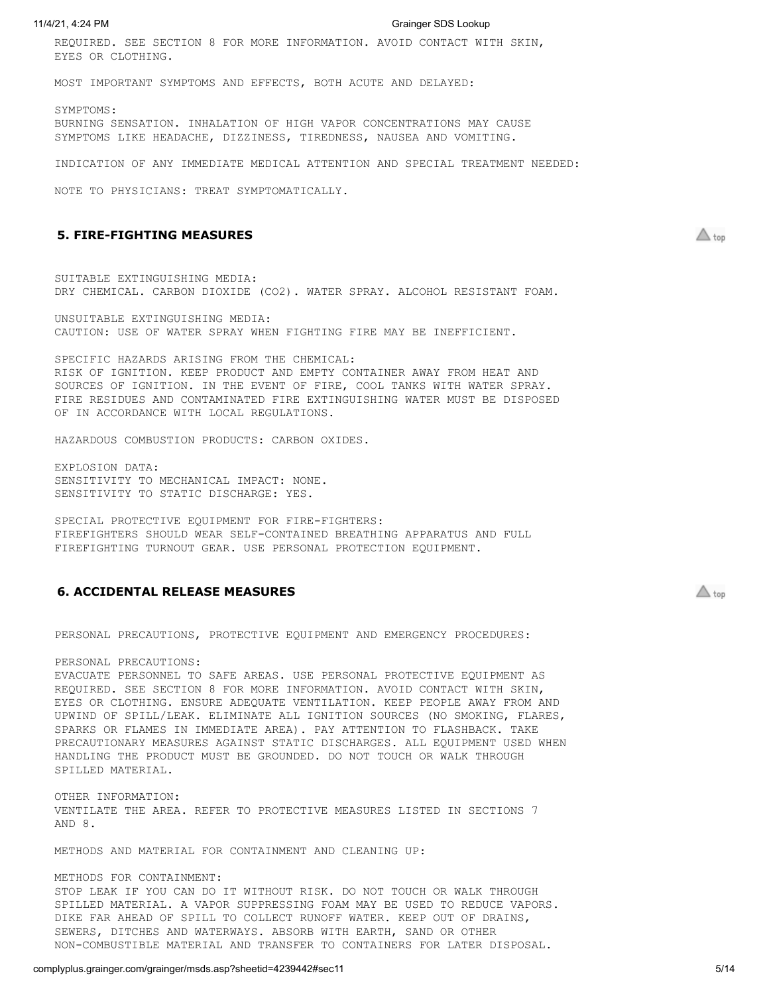REQUIRED. SEE SECTION 8 FOR MORE INFORMATION. AVOID CONTACT WITH SKIN, EYES OR CLOTHING.

MOST IMPORTANT SYMPTOMS AND EFFECTS, BOTH ACUTE AND DELAYED:

SYMPTOMS: BURNING SENSATION. INHALATION OF HIGH VAPOR CONCENTRATIONS MAY CAUSE SYMPTOMS LIKE HEADACHE, DIZZINESS, TIREDNESS, NAUSEA AND VOMITING.

INDICATION OF ANY IMMEDIATE MEDICAL ATTENTION AND SPECIAL TREATMENT NEEDED:

NOTE TO PHYSICIANS: TREAT SYMPTOMATICALLY.

# <span id="page-4-0"></span>**5. FIRE-FIGHTING MEASURES**

SUITABLE EXTINGUISHING MEDIA: DRY CHEMICAL. CARBON DIOXIDE (CO2). WATER SPRAY. ALCOHOL RESISTANT FOAM.

UNSUITABLE EXTINGUISHING MEDIA: CAUTION: USE OF WATER SPRAY WHEN FIGHTING FIRE MAY BE INEFFICIENT.

SPECIFIC HAZARDS ARISING FROM THE CHEMICAL: RISK OF IGNITION. KEEP PRODUCT AND EMPTY CONTAINER AWAY FROM HEAT AND SOURCES OF IGNITION. IN THE EVENT OF FIRE, COOL TANKS WITH WATER SPRAY. FIRE RESIDUES AND CONTAMINATED FIRE EXTINGUISHING WATER MUST BE DISPOSED OF IN ACCORDANCE WITH LOCAL REGULATIONS.

HAZARDOUS COMBUSTION PRODUCTS: CARBON OXIDES.

EXPLOSION DATA: SENSITIVITY TO MECHANICAL IMPACT: NONE. SENSITIVITY TO STATIC DISCHARGE: YES.

SPECIAL PROTECTIVE EQUIPMENT FOR FIRE-FIGHTERS: FIREFIGHTERS SHOULD WEAR SELF-CONTAINED BREATHING APPARATUS AND FULL FIREFIGHTING TURNOUT GEAR. USE PERSONAL PROTECTION EQUIPMENT.

## <span id="page-4-1"></span>**6. ACCIDENTAL RELEASE MEASURES**

PERSONAL PRECAUTIONS, PROTECTIVE EQUIPMENT AND EMERGENCY PROCEDURES:

PERSONAL PRECAUTIONS:

EVACUATE PERSONNEL TO SAFE AREAS. USE PERSONAL PROTECTIVE EQUIPMENT AS REQUIRED. SEE SECTION 8 FOR MORE INFORMATION. AVOID CONTACT WITH SKIN, EYES OR CLOTHING. ENSURE ADEQUATE VENTILATION. KEEP PEOPLE AWAY FROM AND UPWIND OF SPILL/LEAK. ELIMINATE ALL IGNITION SOURCES (NO SMOKING, FLARES, SPARKS OR FLAMES IN IMMEDIATE AREA). PAY ATTENTION TO FLASHBACK. TAKE PRECAUTIONARY MEASURES AGAINST STATIC DISCHARGES. ALL EQUIPMENT USED WHEN HANDLING THE PRODUCT MUST BE GROUNDED. DO NOT TOUCH OR WALK THROUGH SPILLED MATERIAL.

OTHER INFORMATION: VENTILATE THE AREA. REFER TO PROTECTIVE MEASURES LISTED IN SECTIONS 7 AND 8.

METHODS AND MATERIAL FOR CONTAINMENT AND CLEANING UP:

## METHODS FOR CONTAINMENT:

STOP LEAK IF YOU CAN DO IT WITHOUT RISK. DO NOT TOUCH OR WALK THROUGH SPILLED MATERIAL. A VAPOR SUPPRESSING FOAM MAY BE USED TO REDUCE VAPORS. DIKE FAR AHEAD OF SPILL TO COLLECT RUNOFF WATER. KEEP OUT OF DRAINS, SEWERS, DITCHES AND WATERWAYS. ABSORB WITH EARTH, SAND OR OTHER NON-COMBUSTIBLE MATERIAL AND TRANSFER TO CONTAINERS FOR LATER DISPOSAL.

 $\triangle$  top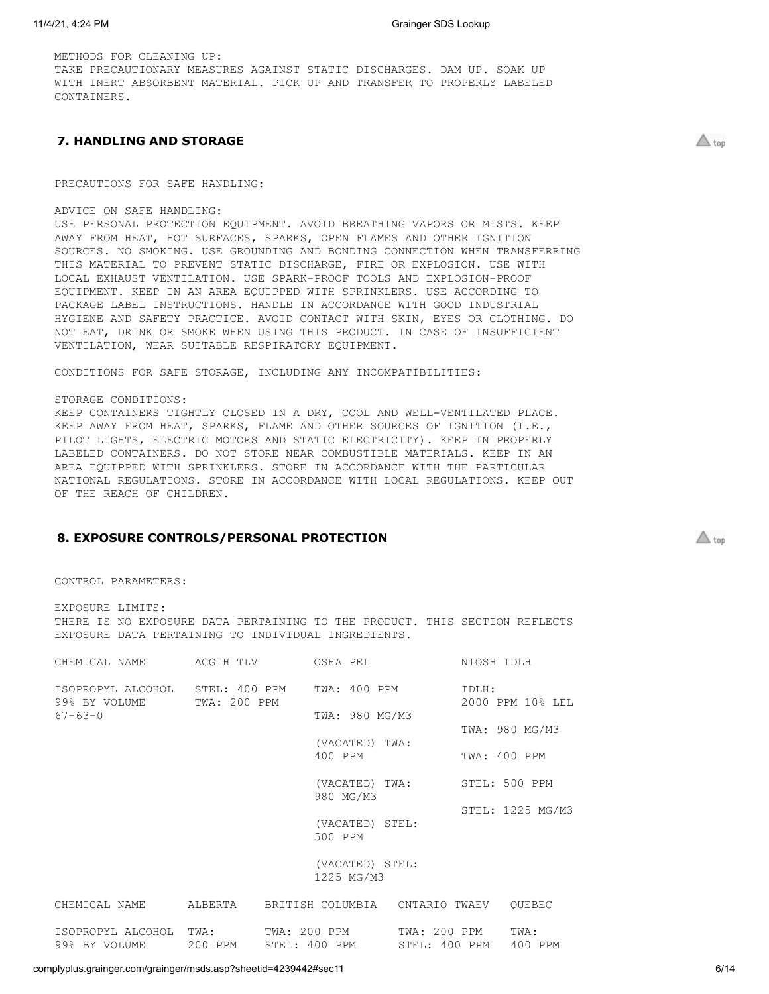METHODS FOR CLEANING UP: TAKE PRECAUTIONARY MEASURES AGAINST STATIC DISCHARGES. DAM UP. SOAK UP WITH INERT ABSORBENT MATERIAL. PICK UP AND TRANSFER TO PROPERLY LABELED CONTAINERS

# <span id="page-5-0"></span>**7. HANDLING AND STORAGE**

PRECAUTIONS FOR SAFE HANDLING:

ADVICE ON SAFE HANDLING:

USE PERSONAL PROTECTION EQUIPMENT. AVOID BREATHING VAPORS OR MISTS. KEEP AWAY FROM HEAT, HOT SURFACES, SPARKS, OPEN FLAMES AND OTHER IGNITION SOURCES. NO SMOKING. USE GROUNDING AND BONDING CONNECTION WHEN TRANSFERRING THIS MATERIAL TO PREVENT STATIC DISCHARGE, FIRE OR EXPLOSION. USE WITH LOCAL EXHAUST VENTILATION. USE SPARK-PROOF TOOLS AND EXPLOSION-PROOF EQUIPMENT. KEEP IN AN AREA EQUIPPED WITH SPRINKLERS. USE ACCORDING TO PACKAGE LABEL INSTRUCTIONS. HANDLE IN ACCORDANCE WITH GOOD INDUSTRIAL HYGIENE AND SAFETY PRACTICE. AVOID CONTACT WITH SKIN, EYES OR CLOTHING. DO NOT EAT, DRINK OR SMOKE WHEN USING THIS PRODUCT. IN CASE OF INSUFFICIENT VENTILATION, WEAR SUITABLE RESPIRATORY EQUIPMENT.

CONDITIONS FOR SAFE STORAGE, INCLUDING ANY INCOMPATIBILITIES:

## STORAGE CONDITIONS:

KEEP CONTAINERS TIGHTLY CLOSED IN A DRY, COOL AND WELL-VENTILATED PLACE. KEEP AWAY FROM HEAT, SPARKS, FLAME AND OTHER SOURCES OF IGNITION (I.E., PILOT LIGHTS, ELECTRIC MOTORS AND STATIC ELECTRICITY). KEEP IN PROPERLY LABELED CONTAINERS. DO NOT STORE NEAR COMBUSTIBLE MATERIALS. KEEP IN AN AREA EQUIPPED WITH SPRINKLERS. STORE IN ACCORDANCE WITH THE PARTICULAR NATIONAL REGULATIONS. STORE IN ACCORDANCE WITH LOCAL REGULATIONS. KEEP OUT OF THE REACH OF CHILDREN.

# <span id="page-5-1"></span>**8. EXPOSURE CONTROLS/PERSONAL PROTECTION**

CONTROL PARAMETERS:

EXPOSURE LIMITS: THERE IS NO EXPOSURE DATA PERTAINING TO THE PRODUCT. THIS SECTION REFLECTS EXPOSURE DATA PERTAINING TO INDIVIDUAL INGREDIENTS.

| CHEMICAL NAME                                                 | ACGIH TLV    | OSHA PEL                       |                               | NIOSH IDLH   |                  |  |
|---------------------------------------------------------------|--------------|--------------------------------|-------------------------------|--------------|------------------|--|
| ISOPROPYL ALCOHOL STEL: 400 PPM TWA: 400 PPM<br>99% BY VOLUME | TWA: 200 PPM |                                |                               | IDLH:        | 2000 PPM 10% LEL |  |
| $67 - 63 - 0$                                                 |              | TWA: 980 MG/M3                 |                               |              | TWA: 980 MG/M3   |  |
|                                                               |              | (VACATED) TWA:<br>400 PPM      |                               | TWA: 400 PPM |                  |  |
|                                                               |              | (VACATED) TWA:                 |                               |              | STEL: 500 PPM    |  |
|                                                               |              | 980 MG/M3                      |                               |              | STEL: 1225 MG/M3 |  |
|                                                               |              | (VACATED) STEL:<br>500 PPM     |                               |              |                  |  |
|                                                               |              | (VACATED) STEL:<br>1225 MG/M3  |                               |              |                  |  |
| CHEMICAL NAME                                                 | ALBERTA      | BRITISH COLUMBIA ONTARIO TWAEV |                               |              | OUEBEC           |  |
| ISOPROPYL ALCOHOL TWA:<br>99% BY VOLUME                       | 200 PPM      | TWA: 200 PPM<br>STEL: 400 PPM  | TWA: 200 PPM<br>STEL: 400 PPM |              | TWA:<br>400 PPM  |  |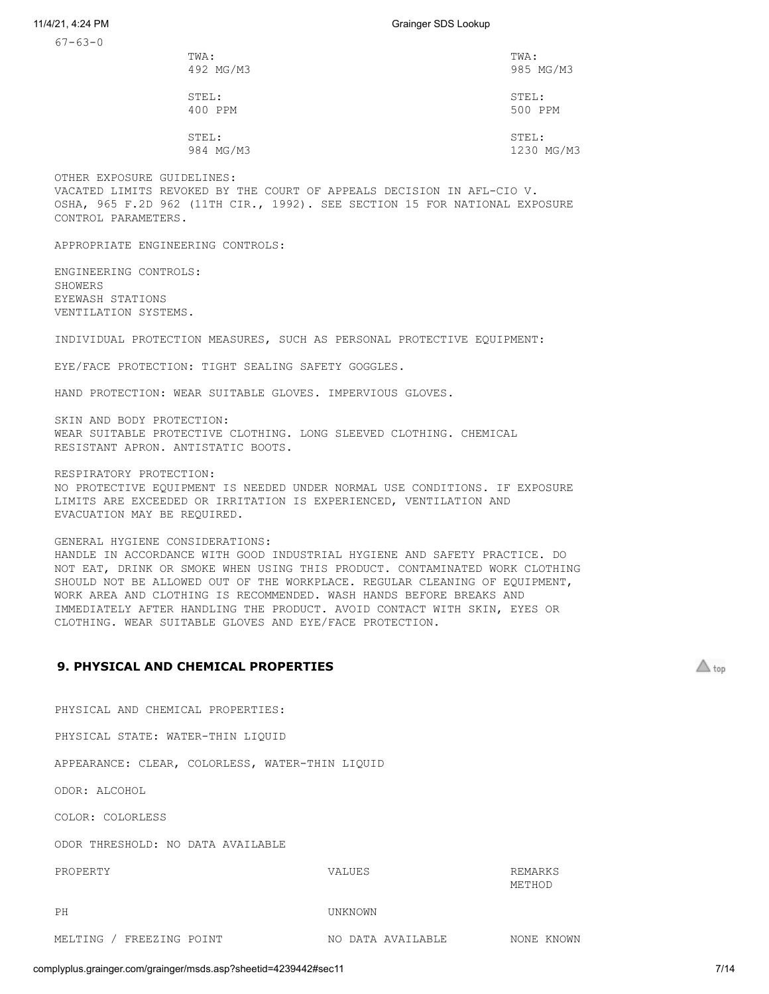67-63-0

| TWA:      | TWA:       |
|-----------|------------|
| 492 MG/M3 | 985 MG/M3  |
| STEL:     | STEL:      |
| 400 PPM   | 500 PPM    |
| STEL:     | STEL:      |
| 984 MG/M3 | 1230 MG/M3 |

OTHER EXPOSURE GUIDELINES: VACATED LIMITS REVOKED BY THE COURT OF APPEALS DECISION IN AFL-CIO V. OSHA, 965 F.2D 962 (11TH CIR., 1992). SEE SECTION 15 FOR NATIONAL EXPOSURE CONTROL PARAMETERS.

APPROPRIATE ENGINEERING CONTROLS:

ENGINEERING CONTROLS: SHOWERS EYEWASH STATIONS VENTILATION SYSTEMS.

INDIVIDUAL PROTECTION MEASURES, SUCH AS PERSONAL PROTECTIVE EQUIPMENT:

EYE/FACE PROTECTION: TIGHT SEALING SAFETY GOGGLES.

HAND PROTECTION: WEAR SUITABLE GLOVES. IMPERVIOUS GLOVES.

SKIN AND BODY PROTECTION: WEAR SUITABLE PROTECTIVE CLOTHING. LONG SLEEVED CLOTHING. CHEMICAL RESISTANT APRON. ANTISTATIC BOOTS.

RESPIRATORY PROTECTION:

NO PROTECTIVE EQUIPMENT IS NEEDED UNDER NORMAL USE CONDITIONS. IF EXPOSURE LIMITS ARE EXCEEDED OR IRRITATION IS EXPERIENCED, VENTILATION AND EVACUATION MAY BE REQUIRED.

## GENERAL HYGIENE CONSIDERATIONS:

HANDLE IN ACCORDANCE WITH GOOD INDUSTRIAL HYGIENE AND SAFETY PRACTICE. DO NOT EAT, DRINK OR SMOKE WHEN USING THIS PRODUCT. CONTAMINATED WORK CLOTHING SHOULD NOT BE ALLOWED OUT OF THE WORKPLACE. REGULAR CLEANING OF EQUIPMENT, WORK AREA AND CLOTHING IS RECOMMENDED. WASH HANDS BEFORE BREAKS AND IMMEDIATELY AFTER HANDLING THE PRODUCT. AVOID CONTACT WITH SKIN, EYES OR CLOTHING. WEAR SUITABLE GLOVES AND EYE/FACE PROTECTION.

# <span id="page-6-0"></span>**9. PHYSICAL AND CHEMICAL PROPERTIES**

PHYSICAL AND CHEMICAL PROPERTIES:

PHYSICAL STATE: WATER-THIN LIQUID

APPEARANCE: CLEAR, COLORLESS, WATER-THIN LIQUID

ODOR: ALCOHOL

COLOR: COLORLESS

ODOR THRESHOLD: NO DATA AVAILABLE

PROPERTY VALUES REMARKS METHOD

PH UNKNOWN

MELTING / FREEZING POINT NO DATA AVAILABLE NONE KNOWN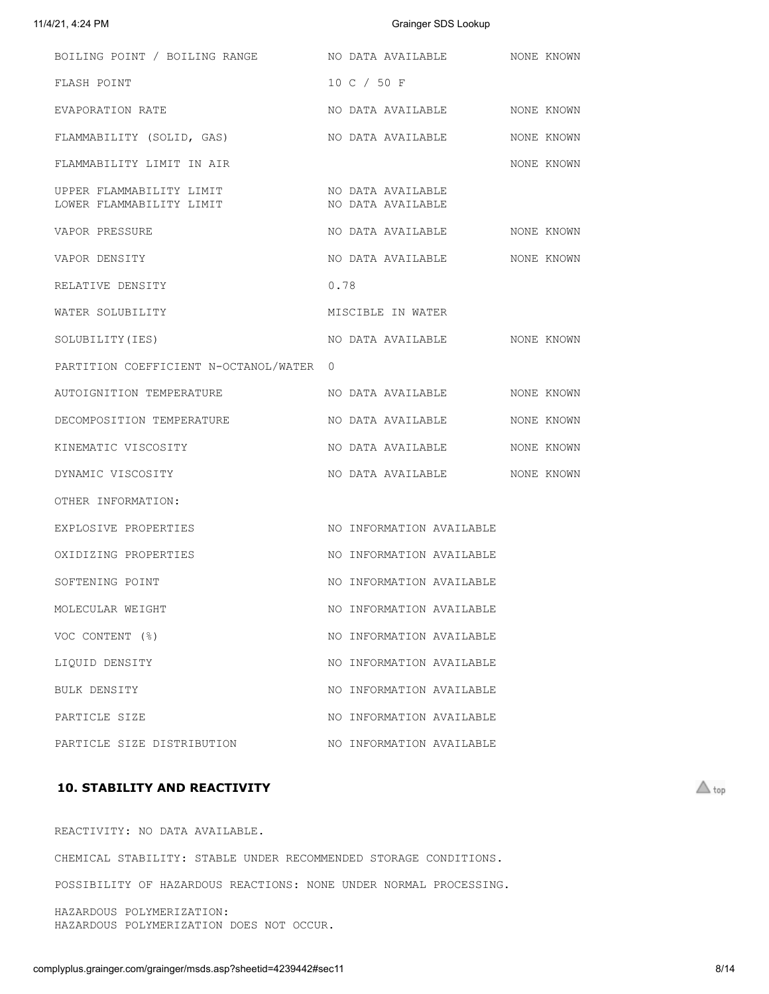| BOILING POINT / BOILING RANGE                        | NO DATA AVAILABLE                      | NONE KNOWN |
|------------------------------------------------------|----------------------------------------|------------|
| FLASH POINT                                          | 10 C / 50 F                            |            |
| EVAPORATION RATE                                     | NO DATA AVAILABLE                      | NONE KNOWN |
| FLAMMABILITY (SOLID, GAS)                            | NO DATA AVAILABLE                      | NONE KNOWN |
| FLAMMABILITY LIMIT IN AIR                            |                                        | NONE KNOWN |
| UPPER FLAMMABILITY LIMIT<br>LOWER FLAMMABILITY LIMIT | NO DATA AVAILABLE<br>NO DATA AVAILABLE |            |
| VAPOR PRESSURE                                       | NO DATA AVAILABLE                      | NONE KNOWN |
| VAPOR DENSITY                                        | NO DATA AVAILABLE                      | NONE KNOWN |
| RELATIVE DENSITY                                     | 0.78                                   |            |
| WATER SOLUBILITY                                     | MISCIBLE IN WATER                      |            |
| SOLUBILITY (IES)                                     | NO DATA AVAILABLE                      | NONE KNOWN |
| PARTITION COEFFICIENT N-OCTANOL/WATER                | 0                                      |            |
| AUTOIGNITION TEMPERATURE                             | NO DATA AVAILABLE                      | NONE KNOWN |
| DECOMPOSITION TEMPERATURE                            | NO DATA AVAILABLE                      | NONE KNOWN |
| KINEMATIC VISCOSITY                                  | NO DATA AVAILABLE                      | NONE KNOWN |
| DYNAMIC VISCOSITY                                    | NO DATA AVAILABLE                      | NONE KNOWN |
| OTHER INFORMATION:                                   |                                        |            |
| EXPLOSIVE PROPERTIES                                 | NO INFORMATION AVAILABLE               |            |
| OXIDIZING PROPERTIES                                 | NO INFORMATION AVAILABLE               |            |
| SOFTENING POINT                                      | NO INFORMATION AVAILABLE               |            |
| MOLECULAR WEIGHT                                     | NO INFORMATION AVAILABLE               |            |
| VOC CONTENT (%)                                      | NO INFORMATION AVAILABLE               |            |
| LIQUID DENSITY                                       | NO INFORMATION AVAILABLE               |            |
| BULK DENSITY                                         | NO INFORMATION AVAILABLE               |            |
| PARTICLE SIZE                                        | NO INFORMATION AVAILABLE               |            |
| PARTICLE SIZE DISTRIBUTION                           | NO INFORMATION AVAILABLE               |            |

# <span id="page-7-0"></span>**10. STABILITY AND REACTIVITY**

REACTIVITY: NO DATA AVAILABLE.

CHEMICAL STABILITY: STABLE UNDER RECOMMENDED STORAGE CONDITIONS.

POSSIBILITY OF HAZARDOUS REACTIONS: NONE UNDER NORMAL PROCESSING.

HAZARDOUS POLYMERIZATION: HAZARDOUS POLYMERIZATION DOES NOT OCCUR.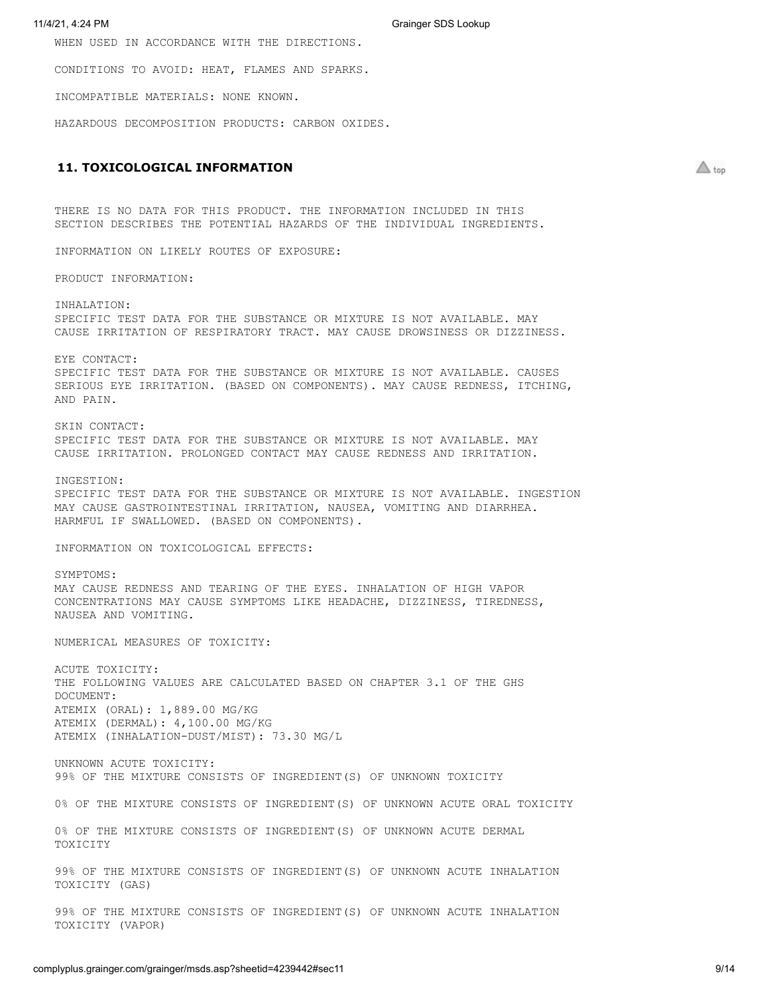WHEN USED IN ACCORDANCE WITH THE DIRECTIONS.

CONDITIONS TO AVOID: HEAT, FLAMES AND SPARKS.

INCOMPATIBLE MATERIALS: NONE KNOWN.

HAZARDOUS DECOMPOSITION PRODUCTS: CARBON OXIDES.

# <span id="page-8-0"></span>**11. TOXICOLOGICAL INFORMATION**

 $\triangle$  top

THERE IS NO DATA FOR THIS PRODUCT. THE INFORMATION INCLUDED IN THIS SECTION DESCRIBES THE POTENTIAL HAZARDS OF THE INDIVIDUAL INGREDIENTS.

INFORMATION ON LIKELY ROUTES OF EXPOSURE:

PRODUCT INFORMATION:

INHALATION: SPECIFIC TEST DATA FOR THE SUBSTANCE OR MIXTURE IS NOT AVAILABLE. MAY CAUSE IRRITATION OF RESPIRATORY TRACT. MAY CAUSE DROWSINESS OR DIZZINESS.

EYE CONTACT: SPECIFIC TEST DATA FOR THE SUBSTANCE OR MIXTURE IS NOT AVAILABLE. CAUSES SERIOUS EYE IRRITATION. (BASED ON COMPONENTS). MAY CAUSE REDNESS, ITCHING, AND PAIN.

SKIN CONTACT: SPECIFIC TEST DATA FOR THE SUBSTANCE OR MIXTURE IS NOT AVAILABLE. MAY CAUSE IRRITATION. PROLONGED CONTACT MAY CAUSE REDNESS AND IRRITATION.

INGESTION: SPECIFIC TEST DATA FOR THE SUBSTANCE OR MIXTURE IS NOT AVAILABLE. INGESTION MAY CAUSE GASTROINTESTINAL IRRITATION, NAUSEA, VOMITING AND DIARRHEA. HARMFUL IF SWALLOWED. (BASED ON COMPONENTS).

INFORMATION ON TOXICOLOGICAL EFFECTS:

SYMPTOMS: MAY CAUSE REDNESS AND TEARING OF THE EYES. INHALATION OF HIGH VAPOR CONCENTRATIONS MAY CAUSE SYMPTOMS LIKE HEADACHE, DIZZINESS, TIREDNESS, NAUSEA AND VOMITING.

NUMERICAL MEASURES OF TOXICITY:

ACUTE TOXICITY: THE FOLLOWING VALUES ARE CALCULATED BASED ON CHAPTER 3.1 OF THE GHS DOCUMENT: ATEMIX (ORAL): 1,889.00 MG/KG ATEMIX (DERMAL): 4,100.00 MG/KG ATEMIX (INHALATION-DUST/MIST): 73.30 MG/L

UNKNOWN ACUTE TOXICITY: 99% OF THE MIXTURE CONSISTS OF INGREDIENT(S) OF UNKNOWN TOXICITY

0% OF THE MIXTURE CONSISTS OF INGREDIENT(S) OF UNKNOWN ACUTE ORAL TOXICITY

0% OF THE MIXTURE CONSISTS OF INGREDIENT(S) OF UNKNOWN ACUTE DERMAL TOXICITY

99% OF THE MIXTURE CONSISTS OF INGREDIENT(S) OF UNKNOWN ACUTE INHALATION TOXICITY (GAS)

99% OF THE MIXTURE CONSISTS OF INGREDIENT(S) OF UNKNOWN ACUTE INHALATION TOXICITY (VAPOR)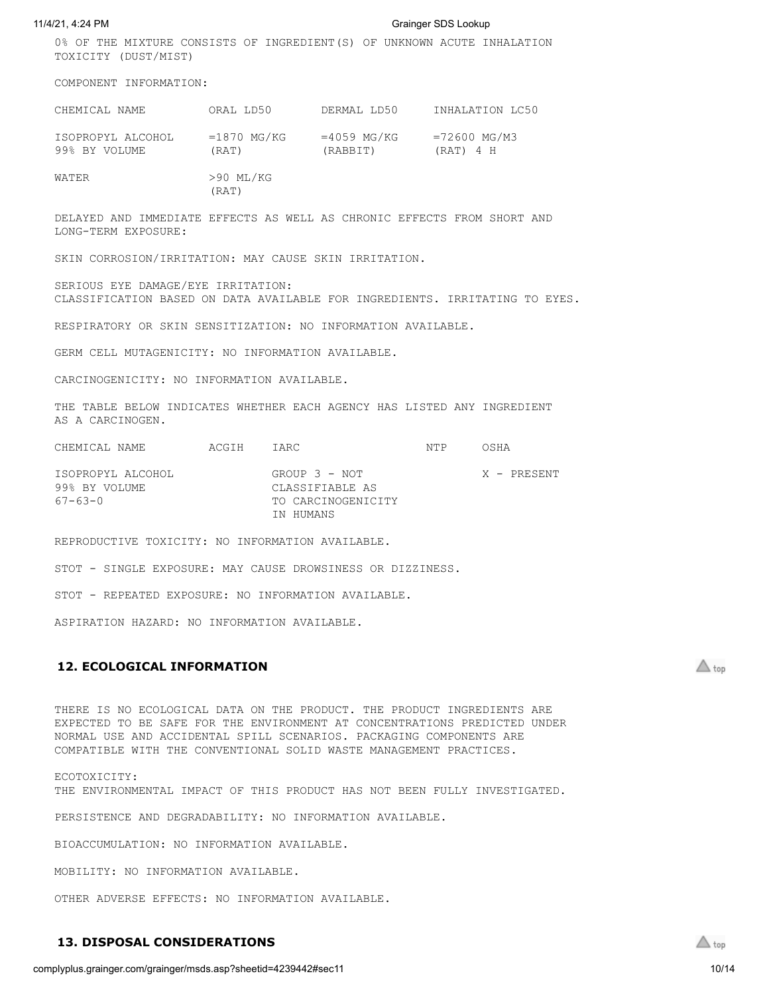0% OF THE MIXTURE CONSISTS OF INGREDIENT(S) OF UNKNOWN ACUTE INHALATION TOXICITY (DUST/MIST)

COMPONENT INFORMATION:

| CHEMICAL NAME                      | ORAL LD50              | DERMAL LD50               | INHALATION LC50             |
|------------------------------------|------------------------|---------------------------|-----------------------------|
| ISOPROPYL ALCOHOL<br>99% BY VOLUME | $=1870$ MG/KG<br>(RAT) | $=4059$ MG/KG<br>(RABBIT) | $=72600$ MG/M3<br>(RAT) 4 H |
| WATER                              | >90 ML/KG              |                           |                             |

(RAT)

DELAYED AND IMMEDIATE EFFECTS AS WELL AS CHRONIC EFFECTS FROM SHORT AND LONG-TERM EXPOSURE:

SKIN CORROSION/IRRITATION: MAY CAUSE SKIN IRRITATION.

SERIOUS EYE DAMAGE/EYE IRRITATION: CLASSIFICATION BASED ON DATA AVAILABLE FOR INGREDIENTS. IRRITATING TO EYES.

RESPIRATORY OR SKIN SENSITIZATION: NO INFORMATION AVAILABLE.

GERM CELL MUTAGENICITY: NO INFORMATION AVAILABLE.

CARCINOGENICITY: NO INFORMATION AVAILABLE.

THE TABLE BELOW INDICATES WHETHER EACH AGENCY HAS LISTED ANY INGREDIENT AS A CARCINOGEN.

| CHEMICAL NAME                                 | ACGIH | TARC.                                                  | NTP | OSHA        |
|-----------------------------------------------|-------|--------------------------------------------------------|-----|-------------|
| ISOPROPYL ALCOHOL<br>99% BY VOLUME<br>67-63-0 |       | GROUP 3 - NOT<br>CLASSIFIABLE AS<br>TO CARCINOGENICITY |     | X - PRESENT |
|                                               |       | IN HUMANS                                              |     |             |

REPRODUCTIVE TOXICITY: NO INFORMATION AVAILABLE.

STOT - SINGLE EXPOSURE: MAY CAUSE DROWSINESS OR DIZZINESS.

STOT - REPEATED EXPOSURE: NO INFORMATION AVAILABLE.

ASPIRATION HAZARD: NO INFORMATION AVAILABLE.

# <span id="page-9-0"></span>**12. ECOLOGICAL INFORMATION**

 $\triangle$  top

THERE IS NO ECOLOGICAL DATA ON THE PRODUCT. THE PRODUCT INGREDIENTS ARE EXPECTED TO BE SAFE FOR THE ENVIRONMENT AT CONCENTRATIONS PREDICTED UNDER NORMAL USE AND ACCIDENTAL SPILL SCENARIOS. PACKAGING COMPONENTS ARE COMPATIBLE WITH THE CONVENTIONAL SOLID WASTE MANAGEMENT PRACTICES.

ECOTOXICITY: THE ENVIRONMENTAL IMPACT OF THIS PRODUCT HAS NOT BEEN FULLY INVESTIGATED.

PERSISTENCE AND DEGRADABILITY: NO INFORMATION AVAILABLE.

BIOACCUMULATION: NO INFORMATION AVAILABLE.

MOBILITY: NO INFORMATION AVAILABLE.

OTHER ADVERSE EFFECTS: NO INFORMATION AVAILABLE.

# <span id="page-9-1"></span>**13. DISPOSAL CONSIDERATIONS**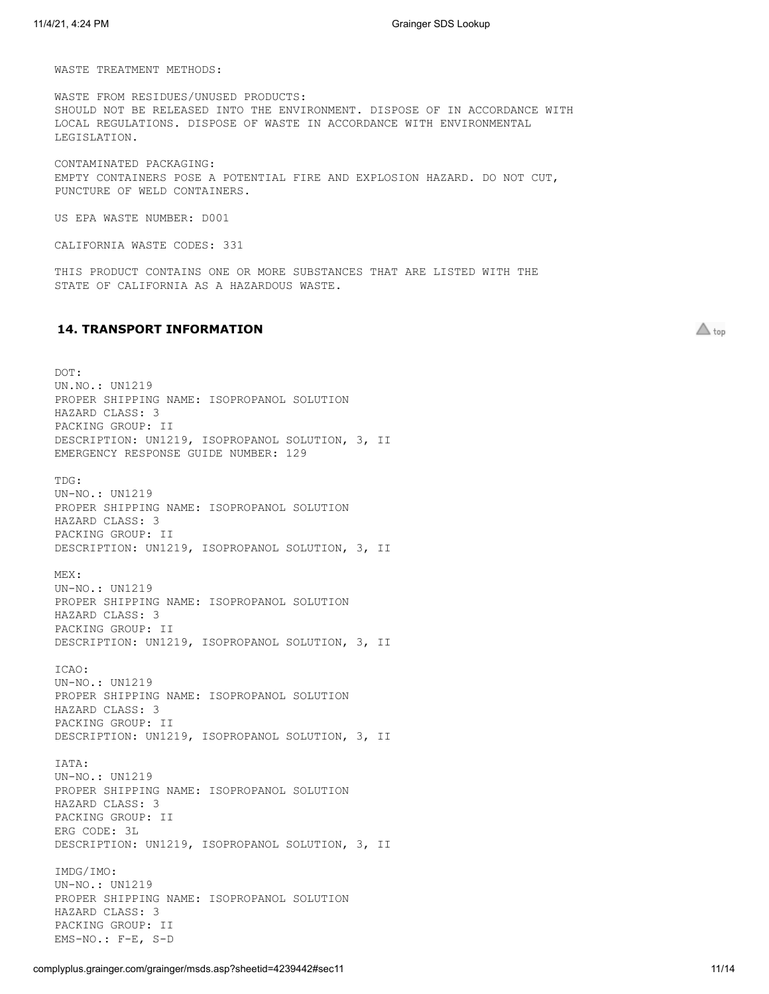WASTE TREATMENT METHODS:

WASTE FROM RESIDUES/UNUSED PRODUCTS: SHOULD NOT BE RELEASED INTO THE ENVIRONMENT. DISPOSE OF IN ACCORDANCE WITH LOCAL REGULATIONS. DISPOSE OF WASTE IN ACCORDANCE WITH ENVIRONMENTAL LEGISLATION.

CONTAMINATED PACKAGING: EMPTY CONTAINERS POSE A POTENTIAL FIRE AND EXPLOSION HAZARD. DO NOT CUT, PUNCTURE OF WELD CONTAINERS.

US EPA WASTE NUMBER: D001

CALIFORNIA WASTE CODES: 331

THIS PRODUCT CONTAINS ONE OR MORE SUBSTANCES THAT ARE LISTED WITH THE STATE OF CALIFORNIA AS A HAZARDOUS WASTE.

# <span id="page-10-0"></span>**14. TRANSPORT INFORMATION**

DOT: UN.NO.: UN1219 PROPER SHIPPING NAME: ISOPROPANOL SOLUTION HAZARD CLASS: 3 PACKING GROUP: II DESCRIPTION: UN1219, ISOPROPANOL SOLUTION, 3, II EMERGENCY RESPONSE GUIDE NUMBER: 129 TDG: UN-NO.: UN1219 PROPER SHIPPING NAME: ISOPROPANOL SOLUTION HAZARD CLASS: 3 PACKING GROUP: II DESCRIPTION: UN1219, ISOPROPANOL SOLUTION, 3, II MEX: UN-NO.: UN1219 PROPER SHIPPING NAME: ISOPROPANOL SOLUTION HAZARD CLASS: 3 PACKING GROUP: II DESCRIPTION: UN1219, ISOPROPANOL SOLUTION, 3, II ICAO: UN-NO.: UN1219 PROPER SHIPPING NAME: ISOPROPANOL SOLUTION HAZARD CLASS: 3 PACKING GROUP: II DESCRIPTION: UN1219, ISOPROPANOL SOLUTION, 3, II IATA: UN-NO.: UN1219 PROPER SHIPPING NAME: ISOPROPANOL SOLUTION HAZARD CLASS: 3 PACKING GROUP: II ERG CODE: 3L DESCRIPTION: UN1219, ISOPROPANOL SOLUTION, 3, II IMDG/IMO: UN-NO.: UN1219 PROPER SHIPPING NAME: ISOPROPANOL SOLUTION HAZARD CLASS: 3 PACKING GROUP: II EMS-NO.: F-E, S-D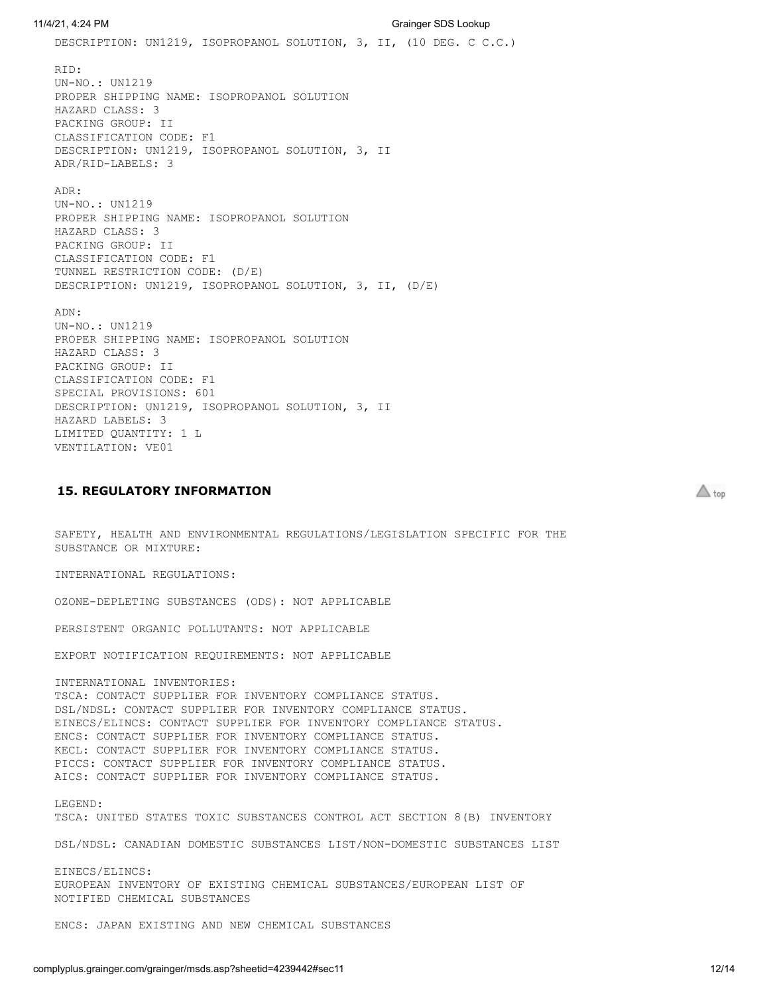11/4/21, 4:24 PM Grainger SDS Lookup DESCRIPTION: UN1219, ISOPROPANOL SOLUTION, 3, II, (10 DEG. C C.C.) RID: UN-NO.: UN1219 PROPER SHIPPING NAME: ISOPROPANOL SOLUTION HAZARD CLASS: 3 PACKING GROUP: II CLASSIFICATION CODE: F1 DESCRIPTION: UN1219, ISOPROPANOL SOLUTION, 3, II ADR/RID-LABELS: 3 ADR: UN-NO.: UN1219 PROPER SHIPPING NAME: ISOPROPANOL SOLUTION HAZARD CLASS: 3 PACKING GROUP: II CLASSIFICATION CODE: F1 TUNNEL RESTRICTION CODE: (D/E) DESCRIPTION: UN1219, ISOPROPANOL SOLUTION, 3, II, (D/E) ADN: UN-NO.: UN1219 PROPER SHIPPING NAME: ISOPROPANOL SOLUTION HAZARD CLASS: 3 PACKING GROUP: II CLASSIFICATION CODE: F1 SPECIAL PROVISIONS: 601 DESCRIPTION: UN1219, ISOPROPANOL SOLUTION, 3, II HAZARD LABELS: 3 LIMITED QUANTITY: 1 L VENTILATION: VE01

# <span id="page-11-0"></span>**15. REGULATORY INFORMATION**

SAFETY, HEALTH AND ENVIRONMENTAL REGULATIONS/LEGISLATION SPECIFIC FOR THE SUBSTANCE OR MIXTURE:

INTERNATIONAL REGULATIONS:

OZONE-DEPLETING SUBSTANCES (ODS): NOT APPLICABLE

PERSISTENT ORGANIC POLLUTANTS: NOT APPLICABLE

EXPORT NOTIFICATION REQUIREMENTS: NOT APPLICABLE

INTERNATIONAL INVENTORIES: TSCA: CONTACT SUPPLIER FOR INVENTORY COMPLIANCE STATUS. DSL/NDSL: CONTACT SUPPLIER FOR INVENTORY COMPLIANCE STATUS. EINECS/ELINCS: CONTACT SUPPLIER FOR INVENTORY COMPLIANCE STATUS. ENCS: CONTACT SUPPLIER FOR INVENTORY COMPLIANCE STATUS. KECL: CONTACT SUPPLIER FOR INVENTORY COMPLIANCE STATUS. PICCS: CONTACT SUPPLIER FOR INVENTORY COMPLIANCE STATUS. AICS: CONTACT SUPPLIER FOR INVENTORY COMPLIANCE STATUS.

LEGEND: TSCA: UNITED STATES TOXIC SUBSTANCES CONTROL ACT SECTION 8(B) INVENTORY

DSL/NDSL: CANADIAN DOMESTIC SUBSTANCES LIST/NON-DOMESTIC SUBSTANCES LIST

EINECS/ELINCS: EUROPEAN INVENTORY OF EXISTING CHEMICAL SUBSTANCES/EUROPEAN LIST OF NOTIFIED CHEMICAL SUBSTANCES

ENCS: JAPAN EXISTING AND NEW CHEMICAL SUBSTANCES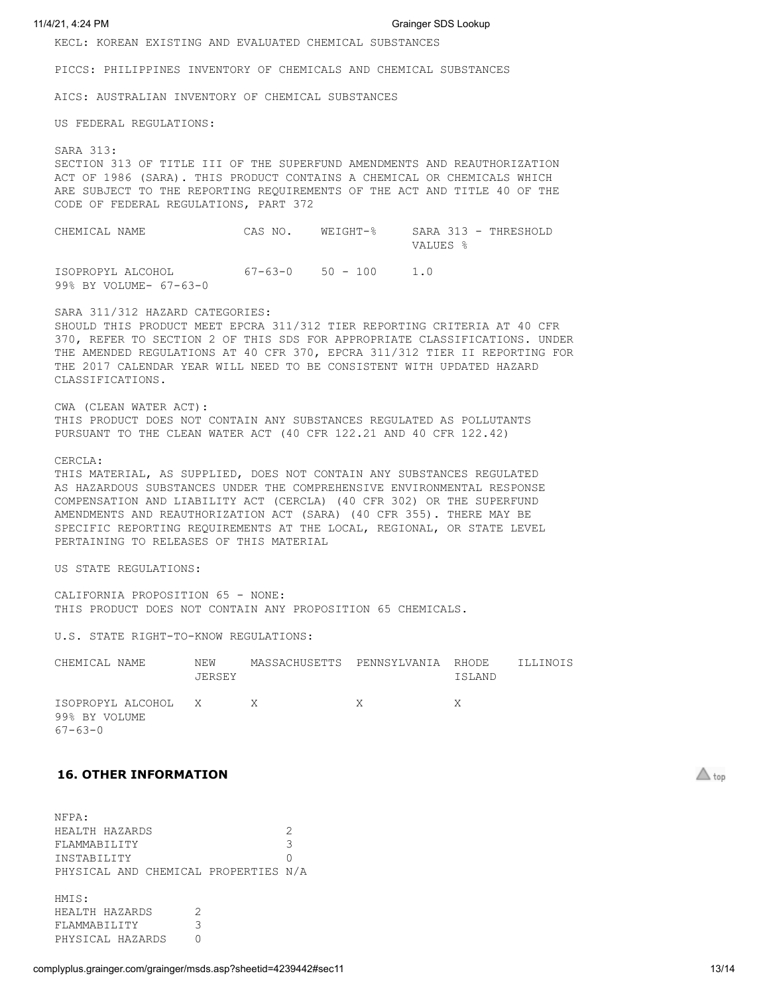KECL: KOREAN EXISTING AND EVALUATED CHEMICAL SUBSTANCES

PICCS: PHILIPPINES INVENTORY OF CHEMICALS AND CHEMICAL SUBSTANCES

AICS: AUSTRALIAN INVENTORY OF CHEMICAL SUBSTANCES

US FEDERAL REGULATIONS:

## SARA 313:

SECTION 313 OF TITLE III OF THE SUPERFUND AMENDMENTS AND REAUTHORIZATION ACT OF 1986 (SARA). THIS PRODUCT CONTAINS A CHEMICAL OR CHEMICALS WHICH ARE SUBJECT TO THE REPORTING REQUIREMENTS OF THE ACT AND TITLE 40 OF THE CODE OF FEDERAL REGULATIONS, PART 372

CHEMICAL NAME CAS NO. WEIGHT-% SARA 313 - THRESHOLD VALUES % ISOPROPYL ALCOHOL 67-63-0 50 - 100 1.0 99% BY VOLUME- 67-63-0

SARA 311/312 HAZARD CATEGORIES: SHOULD THIS PRODUCT MEET EPCRA 311/312 TIER REPORTING CRITERIA AT 40 CFR 370, REFER TO SECTION 2 OF THIS SDS FOR APPROPRIATE CLASSIFICATIONS. UNDER THE AMENDED REGULATIONS AT 40 CFR 370, EPCRA 311/312 TIER II REPORTING FOR THE 2017 CALENDAR YEAR WILL NEED TO BE CONSISTENT WITH UPDATED HAZARD CLASSIFICATIONS.

CWA (CLEAN WATER ACT): THIS PRODUCT DOES NOT CONTAIN ANY SUBSTANCES REGULATED AS POLLUTANTS PURSUANT TO THE CLEAN WATER ACT (40 CFR 122.21 AND 40 CFR 122.42)

## CERCLA:

THIS MATERIAL, AS SUPPLIED, DOES NOT CONTAIN ANY SUBSTANCES REGULATED AS HAZARDOUS SUBSTANCES UNDER THE COMPREHENSIVE ENVIRONMENTAL RESPONSE COMPENSATION AND LIABILITY ACT (CERCLA) (40 CFR 302) OR THE SUPERFUND AMENDMENTS AND REAUTHORIZATION ACT (SARA) (40 CFR 355). THERE MAY BE SPECIFIC REPORTING REQUIREMENTS AT THE LOCAL, REGIONAL, OR STATE LEVEL PERTAINING TO RELEASES OF THIS MATERIAL

US STATE REGULATIONS:

CALIFORNIA PROPOSITION 65 - NONE: THIS PRODUCT DOES NOT CONTAIN ANY PROPOSITION 65 CHEMICALS.

U.S. STATE RIGHT-TO-KNOW REGULATIONS:

| CHEMICAL NAME                                           | NEW<br>JERSEY | MASSACHUSETTS PENNSYLVANIA RHODE |              | ISLAND | ILLINOIS |
|---------------------------------------------------------|---------------|----------------------------------|--------------|--------|----------|
| ISOPROPYL ALCOHOL X X<br>99% BY VOLUME<br>$67 - 63 - 0$ |               |                                  | $\mathbf{X}$ | X.     |          |

# <span id="page-12-0"></span>**16. OTHER INFORMATION**

NFPA: HEALTH HAZARDS 2 FLAMMABILITY 3 INSTABILITY 0 PHYSICAL AND CHEMICAL PROPERTIES N/A HMIS: HEALTH HAZARDS 2 FLAMMABILITY 3 PHYSICAL HAZARDS 0

complyplus.grainger.com/grainger/msds.asp?sheetid=4239442#sec11 13/14